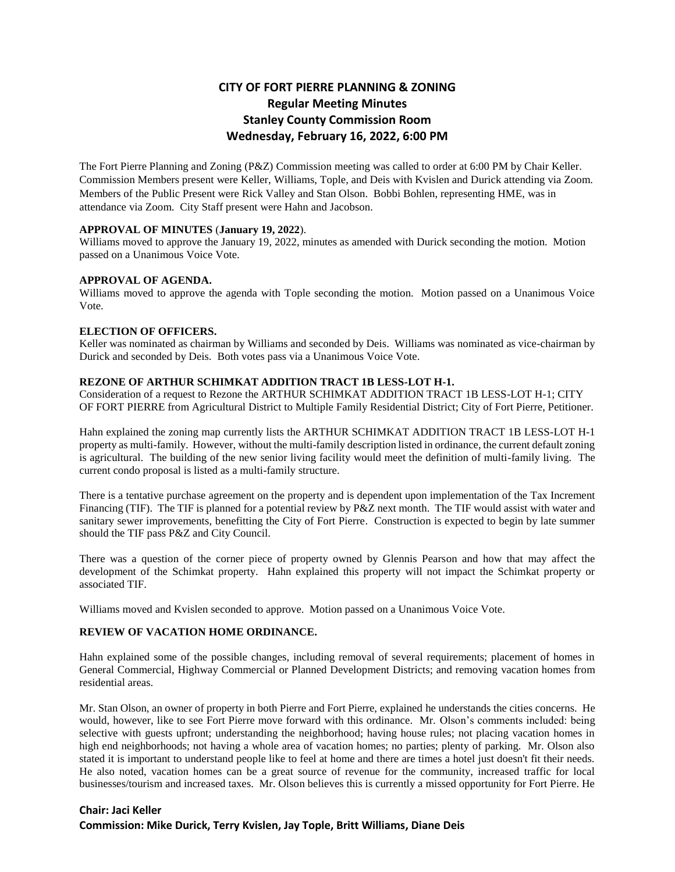# **CITY OF FORT PIERRE PLANNING & ZONING Regular Meeting Minutes Stanley County Commission Room Wednesday, February 16, 2022, 6:00 PM**

The Fort Pierre Planning and Zoning (P&Z) Commission meeting was called to order at 6:00 PM by Chair Keller. Commission Members present were Keller, Williams, Tople, and Deis with Kvislen and Durick attending via Zoom. Members of the Public Present were Rick Valley and Stan Olson. Bobbi Bohlen, representing HME, was in attendance via Zoom. City Staff present were Hahn and Jacobson.

## **APPROVAL OF MINUTES** (**January 19, 2022**).

Williams moved to approve the January 19, 2022, minutes as amended with Durick seconding the motion. Motion passed on a Unanimous Voice Vote.

## **APPROVAL OF AGENDA.**

Williams moved to approve the agenda with Tople seconding the motion. Motion passed on a Unanimous Voice Vote.

#### **ELECTION OF OFFICERS.**

Keller was nominated as chairman by Williams and seconded by Deis. Williams was nominated as vice-chairman by Durick and seconded by Deis. Both votes pass via a Unanimous Voice Vote.

# **REZONE OF ARTHUR SCHIMKAT ADDITION TRACT 1B LESS-LOT H-1.**

Consideration of a request to Rezone the ARTHUR SCHIMKAT ADDITION TRACT 1B LESS-LOT H-1; CITY OF FORT PIERRE from Agricultural District to Multiple Family Residential District; City of Fort Pierre, Petitioner.

Hahn explained the zoning map currently lists the ARTHUR SCHIMKAT ADDITION TRACT 1B LESS-LOT H-1 property as multi-family. However, without the multi-family description listed in ordinance, the current default zoning is agricultural. The building of the new senior living facility would meet the definition of multi-family living. The current condo proposal is listed as a multi-family structure.

There is a tentative purchase agreement on the property and is dependent upon implementation of the Tax Increment Financing (TIF). The TIF is planned for a potential review by P&Z next month. The TIF would assist with water and sanitary sewer improvements, benefitting the City of Fort Pierre. Construction is expected to begin by late summer should the TIF pass P&Z and City Council.

There was a question of the corner piece of property owned by Glennis Pearson and how that may affect the development of the Schimkat property. Hahn explained this property will not impact the Schimkat property or associated TIF.

Williams moved and Kvislen seconded to approve. Motion passed on a Unanimous Voice Vote.

# **REVIEW OF VACATION HOME ORDINANCE.**

Hahn explained some of the possible changes, including removal of several requirements; placement of homes in General Commercial, Highway Commercial or Planned Development Districts; and removing vacation homes from residential areas.

Mr. Stan Olson, an owner of property in both Pierre and Fort Pierre, explained he understands the cities concerns. He would, however, like to see Fort Pierre move forward with this ordinance. Mr. Olson's comments included: being selective with guests upfront; understanding the neighborhood; having house rules; not placing vacation homes in high end neighborhoods; not having a whole area of vacation homes; no parties; plenty of parking. Mr. Olson also stated it is important to understand people like to feel at home and there are times a hotel just doesn't fit their needs. He also noted, vacation homes can be a great source of revenue for the community, increased traffic for local businesses/tourism and increased taxes. Mr. Olson believes this is currently a missed opportunity for Fort Pierre. He